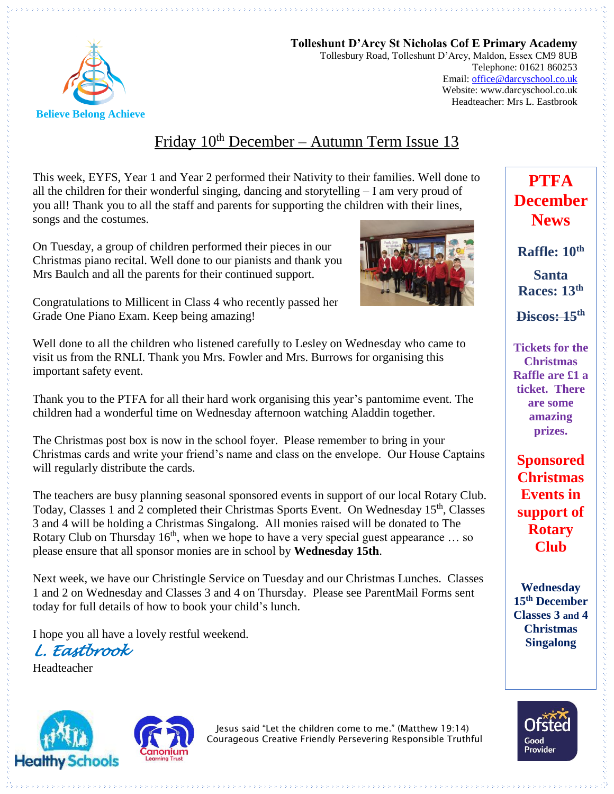

**Tolleshunt D'Arcy St Nicholas Cof E Primary Academy** Tollesbury Road, Tolleshunt D'Arcy, Maldon, Essex CM9 8UB Telephone: 01621 860253 Email[: office@darcyschool.co.uk](mailto:office@darcyschool.co.uk) Website: www.darcyschool.co.uk Headteacher: Mrs L. Eastbrook

# Friday  $10^{th}$  December – Autumn Term Issue 13

This week, EYFS, Year 1 and Year 2 performed their Nativity to their families. Well done to all the children for their wonderful singing, dancing and storytelling  $-I$  am very proud of you all! Thank you to all the staff and parents for supporting the children with their lines, songs and the costumes.

On Tuesday, a group of children performed their pieces in our Christmas piano recital. Well done to our pianists and thank you Mrs Baulch and all the parents for their continued support.



Congratulations to Millicent in Class 4 who recently passed her Grade One Piano Exam. Keep being amazing!

Well done to all the children who listened carefully to Lesley on Wednesday who came to visit us from the RNLI. Thank you Mrs. Fowler and Mrs. Burrows for organising this important safety event.

Thank you to the PTFA for all their hard work organising this year's pantomime event. The children had a wonderful time on Wednesday afternoon watching Aladdin together.

The Christmas post box is now in the school foyer. Please remember to bring in your Christmas cards and write your friend's name and class on the envelope. Our House Captains will regularly distribute the cards.

The teachers are busy planning seasonal sponsored events in support of our local Rotary Club. Today, Classes 1 and 2 completed their Christmas Sports Event. On Wednesday 15<sup>th</sup>, Classes 3 and 4 will be holding a Christmas Singalong. All monies raised will be donated to The Rotary Club on Thursday  $16<sup>th</sup>$ , when we hope to have a very special guest appearance ... so please ensure that all sponsor monies are in school by **Wednesday 15th**.

Next week, we have our Christingle Service on Tuesday and our Christmas Lunches. Classes 1 and 2 on Wednesday and Classes 3 and 4 on Thursday. Please see ParentMail Forms sent today for full details of how to book your child's lunch.

I hope you all have a lovely restful weekend.

*L. Eastbrook* 

Headteacher





Jesus said "Let the children come to me." (Matthew 19:14) Courageous Creative Friendly Persevering Responsible Truthful



**PTFA** 

**Discos: 15th**

**Tickets for the Christmas Raffle are £1 a ticket. There are some amazing prizes.** 

**Sponsored Christmas Events in support of Rotary Club**

**Wednesday 15th December Classes 3 and 4 Christmas Singalong**